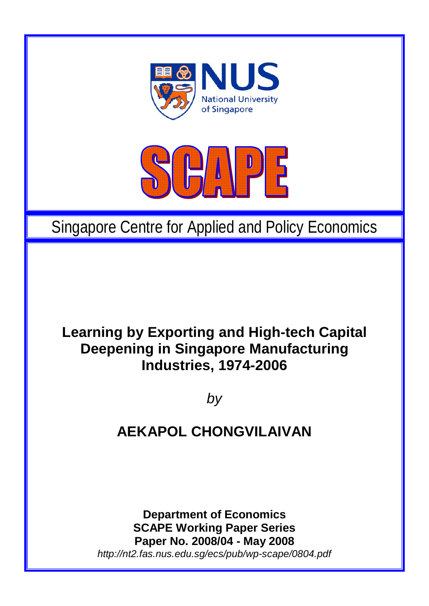



# Singapore Centre for Applied and Policy Economics

### **Learning by Exporting and High-tech Capital Deepening in Singapore Manufacturing Industries, 1974-2006**

*by* 

## **AEKAPOL CHONGVILAIVAN**

**Department of Economics SCAPE Working Paper Series Paper No. 2008/04 - May 2008**  *http://nt2.fas.nus.edu.sg/ecs/pub/wp-scape/0804.pdf*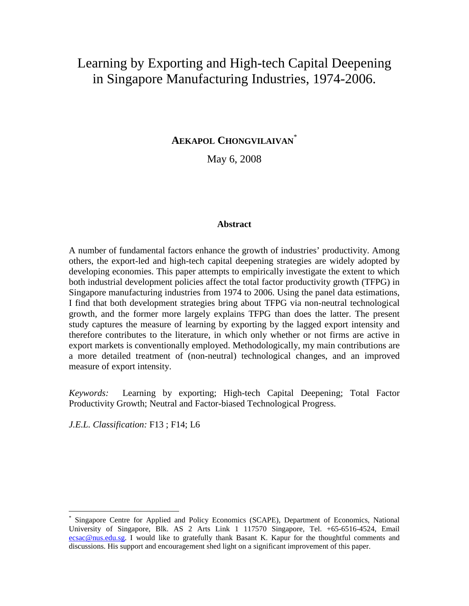### Learning by Exporting and High-tech Capital Deepening in Singapore Manufacturing Industries, 1974-2006.

#### **AEKAPOL CHONGVILAIVAN**\*

May 6, 2008

#### **Abstract**

A number of fundamental factors enhance the growth of industries' productivity. Among others, the export-led and high-tech capital deepening strategies are widely adopted by developing economies. This paper attempts to empirically investigate the extent to which both industrial development policies affect the total factor productivity growth (TFPG) in Singapore manufacturing industries from 1974 to 2006. Using the panel data estimations, I find that both development strategies bring about TFPG via non-neutral technological growth, and the former more largely explains TFPG than does the latter. The present study captures the measure of learning by exporting by the lagged export intensity and therefore contributes to the literature, in which only whether or not firms are active in export markets is conventionally employed. Methodologically, my main contributions are a more detailed treatment of (non-neutral) technological changes, and an improved measure of export intensity.

*Keywords:* Learning by exporting; High-tech Capital Deepening; Total Factor Productivity Growth; Neutral and Factor-biased Technological Progress.

*J.E.L. Classification:* F13 ; F14; L6

<sup>\*</sup> Singapore Centre for Applied and Policy Economics (SCAPE), Department of Economics, National University of Singapore, Blk. AS 2 Arts Link 1 117570 Singapore, Tel. +65-6516-4524, Email ecsac@nus.edu.sg. I would like to gratefully thank Basant K. Kapur for the thoughtful comments and discussions. His support and encouragement shed light on a significant improvement of this paper.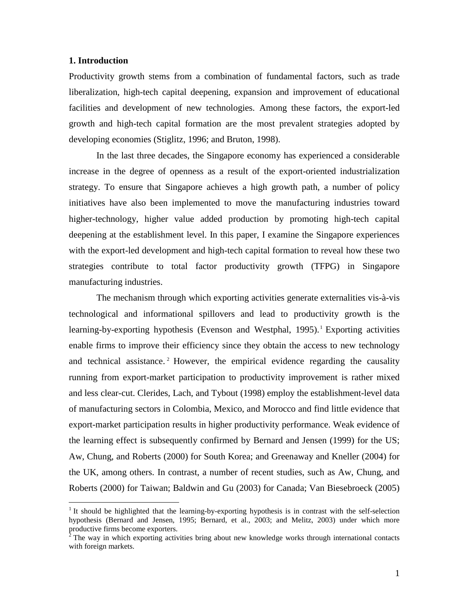#### **1. Introduction**

Productivity growth stems from a combination of fundamental factors, such as trade liberalization, high-tech capital deepening, expansion and improvement of educational facilities and development of new technologies. Among these factors, the export-led growth and high-tech capital formation are the most prevalent strategies adopted by developing economies (Stiglitz, 1996; and Bruton, 1998).

In the last three decades, the Singapore economy has experienced a considerable increase in the degree of openness as a result of the export-oriented industrialization strategy. To ensure that Singapore achieves a high growth path, a number of policy initiatives have also been implemented to move the manufacturing industries toward higher-technology, higher value added production by promoting high-tech capital deepening at the establishment level. In this paper, I examine the Singapore experiences with the export-led development and high-tech capital formation to reveal how these two strategies contribute to total factor productivity growth (TFPG) in Singapore manufacturing industries.

The mechanism through which exporting activities generate externalities vis-à-vis technological and informational spillovers and lead to productivity growth is the learning-by-exporting hypothesis (Evenson and Westphal, 1995). Exporting activities enable firms to improve their efficiency since they obtain the access to new technology and technical assistance. <sup>2</sup> However, the empirical evidence regarding the causality running from export-market participation to productivity improvement is rather mixed and less clear-cut. Clerides, Lach, and Tybout (1998) employ the establishment-level data of manufacturing sectors in Colombia, Mexico, and Morocco and find little evidence that export-market participation results in higher productivity performance. Weak evidence of the learning effect is subsequently confirmed by Bernard and Jensen (1999) for the US; Aw, Chung, and Roberts (2000) for South Korea; and Greenaway and Kneller (2004) for the UK, among others. In contrast, a number of recent studies, such as Aw, Chung, and Roberts (2000) for Taiwan; Baldwin and Gu (2003) for Canada; Van Biesebroeck (2005)

<sup>&</sup>lt;sup>1</sup> It should be highlighted that the learning-by-exporting hypothesis is in contrast with the self-selection hypothesis (Bernard and Jensen, 1995; Bernard, et al., 2003; and Melitz, 2003) under which more productive firms become exporters.

 $2^2$  The way in which exporting activities bring about new knowledge works through international contacts with foreign markets.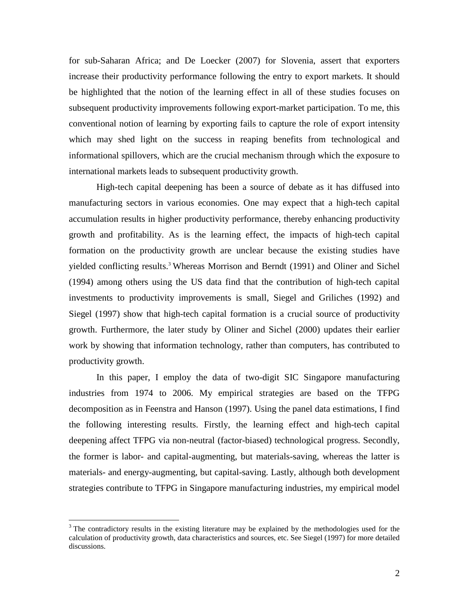for sub-Saharan Africa; and De Loecker (2007) for Slovenia, assert that exporters increase their productivity performance following the entry to export markets. It should be highlighted that the notion of the learning effect in all of these studies focuses on subsequent productivity improvements following export-market participation. To me, this conventional notion of learning by exporting fails to capture the role of export intensity which may shed light on the success in reaping benefits from technological and informational spillovers, which are the crucial mechanism through which the exposure to international markets leads to subsequent productivity growth.

High-tech capital deepening has been a source of debate as it has diffused into manufacturing sectors in various economies. One may expect that a high-tech capital accumulation results in higher productivity performance, thereby enhancing productivity growth and profitability. As is the learning effect, the impacts of high-tech capital formation on the productivity growth are unclear because the existing studies have yielded conflicting results.<sup>3</sup> Whereas Morrison and Berndt (1991) and Oliner and Sichel (1994) among others using the US data find that the contribution of high-tech capital investments to productivity improvements is small, Siegel and Griliches (1992) and Siegel (1997) show that high-tech capital formation is a crucial source of productivity growth. Furthermore, the later study by Oliner and Sichel (2000) updates their earlier work by showing that information technology, rather than computers, has contributed to productivity growth.

In this paper, I employ the data of two-digit SIC Singapore manufacturing industries from 1974 to 2006. My empirical strategies are based on the TFPG decomposition as in Feenstra and Hanson (1997). Using the panel data estimations, I find the following interesting results. Firstly, the learning effect and high-tech capital deepening affect TFPG via non-neutral (factor-biased) technological progress. Secondly, the former is labor- and capital-augmenting, but materials-saving, whereas the latter is materials- and energy-augmenting, but capital-saving. Lastly, although both development strategies contribute to TFPG in Singapore manufacturing industries, my empirical model

<sup>&</sup>lt;sup>3</sup> The contradictory results in the existing literature may be explained by the methodologies used for the calculation of productivity growth, data characteristics and sources, etc. See Siegel (1997) for more detailed discussions.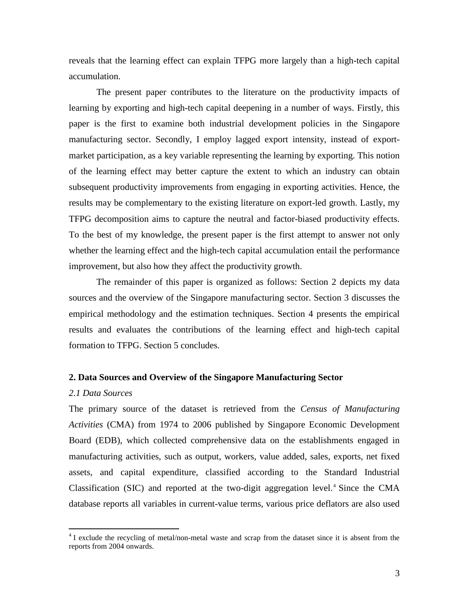reveals that the learning effect can explain TFPG more largely than a high-tech capital accumulation.

The present paper contributes to the literature on the productivity impacts of learning by exporting and high-tech capital deepening in a number of ways. Firstly, this paper is the first to examine both industrial development policies in the Singapore manufacturing sector. Secondly, I employ lagged export intensity, instead of exportmarket participation, as a key variable representing the learning by exporting. This notion of the learning effect may better capture the extent to which an industry can obtain subsequent productivity improvements from engaging in exporting activities. Hence, the results may be complementary to the existing literature on export-led growth. Lastly, my TFPG decomposition aims to capture the neutral and factor-biased productivity effects. To the best of my knowledge, the present paper is the first attempt to answer not only whether the learning effect and the high-tech capital accumulation entail the performance improvement, but also how they affect the productivity growth.

The remainder of this paper is organized as follows: Section 2 depicts my data sources and the overview of the Singapore manufacturing sector. Section 3 discusses the empirical methodology and the estimation techniques. Section 4 presents the empirical results and evaluates the contributions of the learning effect and high-tech capital formation to TFPG. Section 5 concludes.

#### **2. Data Sources and Overview of the Singapore Manufacturing Sector**

#### *2.1 Data Sources*

The primary source of the dataset is retrieved from the *Census of Manufacturing Activities* (CMA) from 1974 to 2006 published by Singapore Economic Development Board (EDB), which collected comprehensive data on the establishments engaged in manufacturing activities, such as output, workers, value added, sales, exports, net fixed assets, and capital expenditure, classified according to the Standard Industrial Classification (SIC) and reported at the two-digit aggregation level.<sup>4</sup> Since the CMA database reports all variables in current-value terms, various price deflators are also used

<sup>&</sup>lt;sup>4</sup> I exclude the recycling of metal/non-metal waste and scrap from the dataset since it is absent from the reports from 2004 onwards.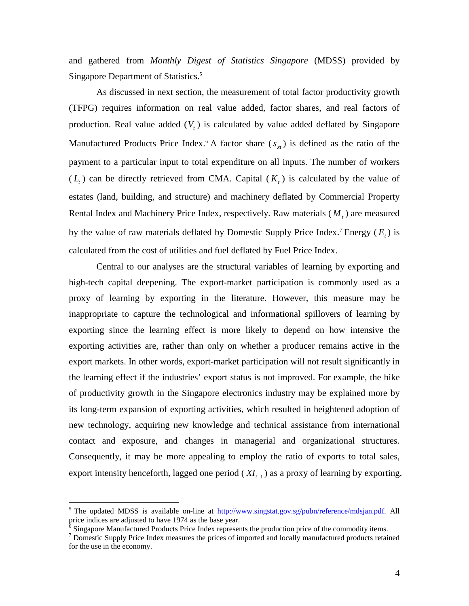and gathered from *Monthly Digest of Statistics Singapore* (MDSS) provided by Singapore Department of Statistics.<sup>5</sup>

As discussed in next section, the measurement of total factor productivity growth (TFPG) requires information on real value added, factor shares, and real factors of production. Real value added (*V<sup>t</sup>* ) is calculated by value added deflated by Singapore Manufactured Products Price Index.<sup>6</sup> A factor share  $(s_{\tau})$  is defined as the ratio of the payment to a particular input to total expenditure on all inputs. The number of workers  $(L<sub>t</sub>)$  can be directly retrieved from CMA. Capital  $(K<sub>t</sub>)$  is calculated by the value of estates (land, building, and structure) and machinery deflated by Commercial Property Rental Index and Machinery Price Index, respectively. Raw materials ( *M<sup>t</sup>* ) are measured by the value of raw materials deflated by Domestic Supply Price Index.<sup>7</sup> Energy  $(E_t)$  is calculated from the cost of utilities and fuel deflated by Fuel Price Index.

Central to our analyses are the structural variables of learning by exporting and high-tech capital deepening. The export-market participation is commonly used as a proxy of learning by exporting in the literature. However, this measure may be inappropriate to capture the technological and informational spillovers of learning by exporting since the learning effect is more likely to depend on how intensive the exporting activities are, rather than only on whether a producer remains active in the export markets. In other words, export-market participation will not result significantly in the learning effect if the industries' export status is not improved. For example, the hike of productivity growth in the Singapore electronics industry may be explained more by its long-term expansion of exporting activities, which resulted in heightened adoption of new technology, acquiring new knowledge and technical assistance from international contact and exposure, and changes in managerial and organizational structures. Consequently, it may be more appealing to employ the ratio of exports to total sales, export intensity henceforth, lagged one period  $(XI_{t-1})$  as a proxy of learning by exporting.

<sup>&</sup>lt;sup>5</sup> The updated MDSS is available on-line at http://www.singstat.gov.sg/pubn/reference/mdsian.pdf. All price indices are adjusted to have 1974 as the base year.<br><sup>6</sup> Singapore Manufactured Products Price Index represents the production price of the commodity items.

<sup>&</sup>lt;sup>7</sup> Domestic Supply Price Index measures the prices of imported and locally manufactured products retained for the use in the economy.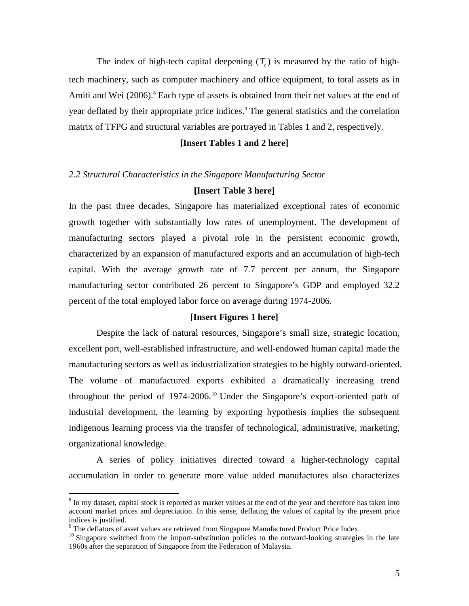The index of high-tech capital deepening  $(T_t)$  is measured by the ratio of hightech machinery, such as computer machinery and office equipment, to total assets as in Amiti and Wei (2006).<sup>8</sup> Each type of assets is obtained from their net values at the end of year deflated by their appropriate price indices.<sup>9</sup> The general statistics and the correlation matrix of TFPG and structural variables are portrayed in Tables 1 and 2, respectively.

#### **[Insert Tables 1 and 2 here]**

*2.2 Structural Characteristics in the Singapore Manufacturing Sector*

#### **[Insert Table 3 here]**

In the past three decades, Singapore has materialized exceptional rates of economic growth together with substantially low rates of unemployment. The development of manufacturing sectors played a pivotal role in the persistent economic growth, characterized by an expansion of manufactured exports and an accumulation of high-tech capital. With the average growth rate of 7.7 percent per annum, the Singapore manufacturing sector contributed 26 percent to Singapore's GDP and employed 32.2 percent of the total employed labor force on average during 1974-2006.

#### **[Insert Figures 1 here]**

Despite the lack of natural resources, Singapore's small size, strategic location, excellent port, well-established infrastructure, and well-endowed human capital made the manufacturing sectors as well as industrialization strategies to be highly outward-oriented. The volume of manufactured exports exhibited a dramatically increasing trend throughout the period of 1974-2006. <sup>10</sup> Under the Singapore's export-oriented path of industrial development, the learning by exporting hypothesis implies the subsequent indigenous learning process via the transfer of technological, administrative, marketing, organizational knowledge.

A series of policy initiatives directed toward a higher-technology capital accumulation in order to generate more value added manufactures also characterizes

<sup>&</sup>lt;sup>8</sup> In my dataset, capital stock is reported as market values at the end of the year and therefore has taken into account market prices and depreciation. In this sense, deflating the values of capital by the present price indices is justified.

 $9$  The deflators of asset values are retrieved from Singapore Manufactured Product Price Index.

<sup>&</sup>lt;sup>10</sup> Singapore switched from the import-substitution policies to the outward-looking strategies in the late 1960s after the separation of Singapore from the Federation of Malaysia.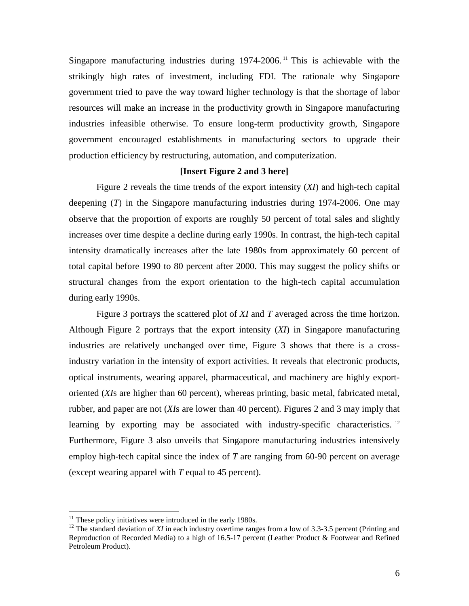Singapore manufacturing industries during 1974-2006.<sup>11</sup> This is achievable with the strikingly high rates of investment, including FDI. The rationale why Singapore government tried to pave the way toward higher technology is that the shortage of labor resources will make an increase in the productivity growth in Singapore manufacturing industries infeasible otherwise. To ensure long-term productivity growth, Singapore government encouraged establishments in manufacturing sectors to upgrade their production efficiency by restructuring, automation, and computerization.

#### **[Insert Figure 2 and 3 here]**

Figure 2 reveals the time trends of the export intensity (*XI*) and high-tech capital deepening (*T*) in the Singapore manufacturing industries during 1974-2006. One may observe that the proportion of exports are roughly 50 percent of total sales and slightly increases over time despite a decline during early 1990s. In contrast, the high-tech capital intensity dramatically increases after the late 1980s from approximately 60 percent of total capital before 1990 to 80 percent after 2000. This may suggest the policy shifts or structural changes from the export orientation to the high-tech capital accumulation during early 1990s.

Figure 3 portrays the scattered plot of *XI* and *T* averaged across the time horizon. Although Figure 2 portrays that the export intensity (*XI*) in Singapore manufacturing industries are relatively unchanged over time, Figure 3 shows that there is a crossindustry variation in the intensity of export activities. It reveals that electronic products, optical instruments, wearing apparel, pharmaceutical, and machinery are highly exportoriented (*XI*s are higher than 60 percent), whereas printing, basic metal, fabricated metal, rubber, and paper are not (*XI*s are lower than 40 percent). Figures 2 and 3 may imply that learning by exporting may be associated with industry-specific characteristics.  $12$ Furthermore, Figure 3 also unveils that Singapore manufacturing industries intensively employ high-tech capital since the index of *T* are ranging from 60-90 percent on average (except wearing apparel with *T* equal to 45 percent).

 $11$  These policy initiatives were introduced in the early 1980s.

<sup>&</sup>lt;sup>12</sup> The standard deviation of *XI* in each industry overtime ranges from a low of 3.3-3.5 percent (Printing and Reproduction of Recorded Media) to a high of 16.5-17 percent (Leather Product & Footwear and Refined Petroleum Product).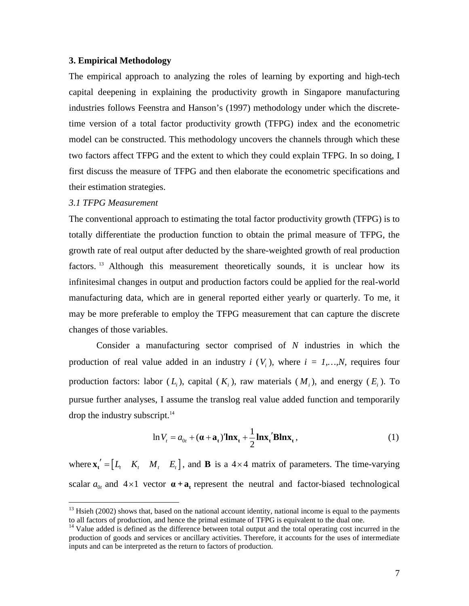#### **3. Empirical Methodology**

The empirical approach to analyzing the roles of learning by exporting and high-tech capital deepening in explaining the productivity growth in Singapore manufacturing industries follows Feenstra and Hanson's (1997) methodology under which the discretetime version of a total factor productivity growth (TFPG) index and the econometric model can be constructed. This methodology uncovers the channels through which these two factors affect TFPG and the extent to which they could explain TFPG. In so doing, I first discuss the measure of TFPG and then elaborate the econometric specifications and their estimation strategies.

#### *3.1 TFPG Measurement*

The conventional approach to estimating the total factor productivity growth (TFPG) is to totally differentiate the production function to obtain the primal measure of TFPG, the growth rate of real output after deducted by the share-weighted growth of real production factors.<sup>13</sup> Although this measurement theoretically sounds, it is unclear how its infinitesimal changes in output and production factors could be applied for the real-world manufacturing data, which are in general reported either yearly or quarterly. To me, it may be more preferable to employ the TFPG measurement that can capture the discrete changes of those variables.

Consider a manufacturing sector comprised of *N* industries in which the production of real value added in an industry  $i$  ( $V_i$ ), where  $i = 1,...,N$ , requires four production factors: labor  $(L<sub>i</sub>)$ , capital  $(K<sub>i</sub>)$ , raw materials  $(M<sub>i</sub>)$ , and energy  $(E<sub>i</sub>)$ . To pursue further analyses, I assume the translog real value added function and temporarily drop the industry subscript. $14$ 

$$
\ln V_t = a_{0t} + (\mathbf{a} + \mathbf{a}_t)' \ln \mathbf{x}_t + \frac{1}{2} \ln \mathbf{x}_t' \textbf{B} \ln \mathbf{x}_t,
$$
 (1)

where  $\mathbf{x}_t' = [L_t \quad K_t \quad M_t \quad E_t]$ , and **B** is a 4 × 4 matrix of parameters. The time-varying scalar  $a_{0t}$  and  $4 \times 1$  vector  $\boldsymbol{\alpha} + \boldsymbol{a}_t$  represent the neutral and factor-biased technological

 $13$  Hsieh (2002) shows that, based on the national account identity, national income is equal to the payments to all factors of production, and hence the primal estimate of TFPG is equivalent to the dual one.

<sup>&</sup>lt;sup>14</sup> Value added is defined as the difference between total output and the total operating cost incurred in the production of goods and services or ancillary activities. Therefore, it accounts for the uses of intermediate inputs and can be interpreted as the return to factors of production.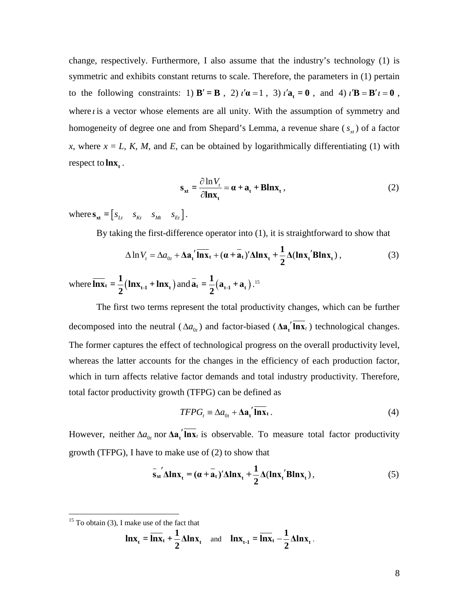change, respectively. Furthermore, I also assume that the industry's technology (1) is symmetric and exhibits constant returns to scale. Therefore, the parameters in (1) pertain to the following constraints: 1)  $\mathbf{B}' = \mathbf{B}$ , 2)  $t'\mathbf{a} = 1$ , 3)  $t'\mathbf{a}_t = \mathbf{0}$ , and 4)  $t'\mathbf{B} = \mathbf{B}'t = \mathbf{0}$ , where  $i$  is a vector whose elements are all unity. With the assumption of symmetry and homogeneity of degree one and from Shepard's Lemma, a revenue share  $(s_n)$  of a factor *x*, where  $x = L$ , *K*, *M*, and *E*, can be obtained by logarithmically differentiating (1) with respect to  $\mathbf{lnx}_t$ .

$$
\mathbf{s}_{\mathbf{x}t} = \frac{\partial \ln V_t}{\partial \mathbf{ln} \mathbf{x}_t} = \mathbf{\alpha} + \mathbf{a}_t + \mathbf{B} \mathbf{ln} \mathbf{x}_t, \qquad (2)
$$

where  $\mathbf{s}_{\mathbf{x}t} = \begin{bmatrix} s_{Lt} & s_{Kt} & s_{Mt} \end{bmatrix}$ .

By taking the first-difference operator into (1), it is straightforward to show that

$$
\Delta \ln V_t = \Delta a_{0t} + \Delta a_t' \overline{\ln x}_t + (\alpha + \overline{a}_t)' \Delta \ln x_t + \frac{1}{2} \Delta (\ln x_t' B \ln x_t),
$$
\n(3)\n
$$
= \frac{1}{2} (\ln x + \ln x) \text{ and } \overline{a}_t = \frac{1}{2} (\mathbf{a} + \mathbf{a})^{-15}
$$

where  $\overline{\mathbf{lnx}}_t = \frac{1}{2} (\mathbf{lnx}_{t-1} + \mathbf{lnx}_t)$  and  $\frac{1}{2}$  (**lnx**<sub>t-1</sub> + **lnx**<sub>t</sub>) and  $\overline{a}_t = \frac{1}{2}$  (**a**<sub>t-1</sub> + **a**<sub>t</sub>).<sup>15</sup> **2** .

The first two terms represent the total productivity changes, which can be further decomposed into the neutral ( $\Delta a_{0t}$ ) and factor-biased ( $\Delta a_t$ <sup>'</sup> $\overline{\ln x_t}$ ) technological changes. The former captures the effect of technological progress on the overall productivity level, whereas the latter accounts for the changes in the efficiency of each production factor, which in turn affects relative factor demands and total industry productivity. Therefore, total factor productivity growth (TFPG) can be defined as

$$
TFPG_{t} \equiv \Delta a_{0t} + \Delta a_{t}' \overline{\ln x}_{t} . \tag{4}
$$

However, neither  $\Delta a_{0t}$  nor  $\Delta a_t'$   $\overline{\ln x_t}$  is observable. To measure total factor productivity growth (TFPG), I have to make use of (2) to show that

$$
\mathbf{s}_{\mathbf{x}t} \Delta \mathbf{ln} \mathbf{x}_t = (\alpha + \mathbf{a}_t)' \Delta \mathbf{ln} \mathbf{x}_t + \frac{1}{2} \Delta (\mathbf{ln} \mathbf{x}_t' \mathbf{Bl} \mathbf{n} \mathbf{x}_t), \qquad (5)
$$

$$
\mathbf{ln} \mathbf{x}_{t} = \overline{\mathbf{ln} \mathbf{x}}_{t} + \frac{1}{2} \Delta \mathbf{ln} \mathbf{x}_{t} \quad \text{and} \quad \mathbf{ln} \mathbf{x}_{t-1} = \overline{\mathbf{ln} \mathbf{x}}_{t} - \frac{1}{2} \Delta \mathbf{ln} \mathbf{x}_{t}.
$$

 $15$  To obtain (3), I make use of the fact that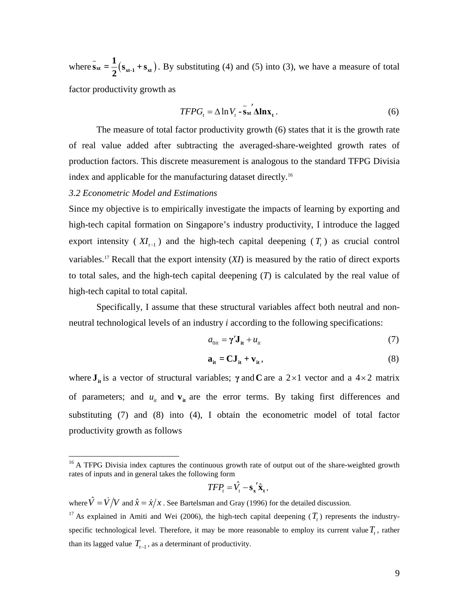where  $\bar{s}_{xt} = \frac{1}{2}(s_{xt-1} + s_{xt})$ . E **2** . By substituting (4) and (5) into (3), we have a measure of total

factor productivity growth as

$$
TFPG_{t} = \Delta \ln V_{t} - \mathbf{s}_{\mathbf{x}t} \Delta \mathbf{ln} \mathbf{x}_{t}.
$$
 (6)

The measure of total factor productivity growth (6) states that it is the growth rate of real value added after subtracting the averaged-share-weighted growth rates of production factors. This discrete measurement is analogous to the standard TFPG Divisia index and applicable for the manufacturing dataset directly.<sup>16</sup>

#### *3.2 Econometric Model and Estimations*

Since my objective is to empirically investigate the impacts of learning by exporting and high-tech capital formation on Singapore's industry productivity, I introduce the lagged export intensity ( $XI_{t-1}$ ) and the high-tech capital deepening ( $T_t$ ) as crucial control variables.<sup>17</sup> Recall that the export intensity (*XI*) is measured by the ratio of direct exports to total sales, and the high-tech capital deepening (*T*) is calculated by the real value of high-tech capital to total capital.

Specifically, I assume that these structural variables affect both neutral and nonneutral technological levels of an industry *i* according to the following specifications:

$$
a_{0it} = \gamma' \mathbf{J}_{it} + u_{it} \tag{7}
$$

$$
\mathbf{a}_{it} = \mathbf{C}\mathbf{J}_{it} + \mathbf{v}_{it},\tag{8}
$$

where  $J_{it}$  is a vector of structural variables;  $\gamma$  and **C** are a 2×1 vector and a 4×2 matrix of parameters; and  $u_{it}$  and  $v_{it}$  are the error terms. By taking first differences and substituting (7) and (8) into (4), I obtain the econometric model of total factor productivity growth as follows

$$
TFP_t = \hat{V}_t - \mathbf{s_x}' \hat{\mathbf{x}}_t,
$$

where  $\hat{V} = \dot{V}/V$  and  $\hat{x} = \dot{x}/x$ . See Bartelsman and Gray (1996) for the detailed discussion.

<sup>&</sup>lt;sup>16</sup> A TFPG Divisia index captures the continuous growth rate of output out of the share-weighted growth rates of inputs and in general takes the following form

<sup>&</sup>lt;sup>17</sup> As explained in Amiti and Wei (2006), the high-tech capital deepening  $(T<sub>t</sub>)$  represents the industryspecific technological level. Therefore, it may be more reasonable to employ its current value  $T<sub>t</sub>$ , rather than its lagged value  $T_{t-1}$ , as a determinant of productivity.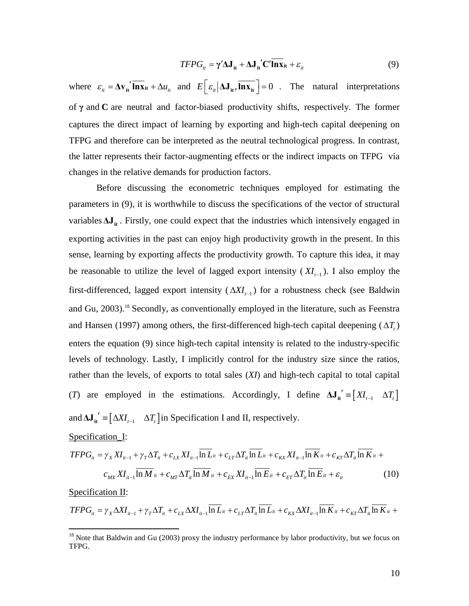$$
TFPG_{it} = \gamma' \Delta J_{it} + \Delta J_{it}' C' \overline{\ln x}_{it} + \varepsilon_{it}
$$
\n(9)

where  $\varepsilon_{it} = \Delta v_{it} \cdot \overline{\mathbf{ln}x}_{it} + \Delta u_{it}$  and  $E\left[\varepsilon_{it}|\Delta J_{it}, \overline{\mathbf{ln}x}_{it}\right] = 0$ . The natural interpretations of **γ** and **C** are neutral and factor-biased productivity shifts, respectively. The former captures the direct impact of learning by exporting and high-tech capital deepening on TFPG and therefore can be interpreted as the neutral technological progress. In contrast, the latter represents their factor-augmenting effects or the indirect impacts on TFPG via changes in the relative demands for production factors.

Before discussing the econometric techniques employed for estimating the parameters in (9), it is worthwhile to discuss the specifications of the vector of structural variables  $\Delta J_{it}$ . Firstly, one could expect that the industries which intensively engaged in exporting activities in the past can enjoy high productivity growth in the present. In this sense, learning by exporting affects the productivity growth. To capture this idea, it may be reasonable to utilize the level of lagged export intensity  $(XI_{t-1})$ . I also employ the first-differenced, lagged export intensity  $(\Delta X I_{t-1})$  for a robustness check (see Baldwin and Gu, 2003).<sup>18</sup> Secondly, as conventionally employed in the literature, such as Feenstra and Hansen (1997) among others, the first-differenced high-tech capital deepening ( $\Delta T_t$ ) enters the equation (9) since high-tech capital intensity is related to the industry-specific levels of technology. Lastly, I implicitly control for the industry size since the ratios, rather than the levels, of exports to total sales (*XI*) and high-tech capital to total capital (*T*) are employed in the estimations. Accordingly, I define  $\Delta J_{it}^{\dagger} = [X I_{t-1} \Delta T_t]$ and  $\Delta J_{it}^{\prime} = [\Delta X I_{t-1} \quad \Delta T_t]$  in Specification I and II, respectively.

#### Specification\_I:

$$
TFPG_{it} = \gamma_X X I_{it-1} + \gamma_T \Delta T_{it} + c_{LX} X I_{it-1} \overline{\ln L}_{it} + c_{LT} \Delta T_{it} \overline{\ln L}_{it} + c_{KX} X I_{it-1} \overline{\ln K}_{it} + c_{KT} \Delta T_{it} \overline{\ln K}_{it} +
$$
  

$$
c_{MX} X I_{it-1} \overline{\ln M}_{it} + c_{MT} \Delta T_{it} \overline{\ln M}_{it} + c_{EX} X I_{it-1} \overline{\ln E}_{it} + c_{ET} \Delta T_{it} \overline{\ln E}_{it} + \varepsilon_{it}
$$
 (10)

Specification II:

 $TFPG_{it} = \gamma_X \Delta X I_{it-1} + \gamma_T \Delta T_{it} + c_{LX} \Delta X I_{it-1} \overline{\ln L}_{it} + c_{LT} \Delta T_{it} \overline{\ln L}_{it} + c_{KX} \Delta X I_{it-1} \overline{\ln K}_{it} + c_{KT} \Delta T_{it} \overline{\ln K}_{it} + c_{KT} \Delta T_{it} \overline{\ln K}_{it}$ 

<sup>&</sup>lt;sup>18</sup> Note that Baldwin and Gu (2003) proxy the industry performance by labor productivity, but we focus on TFPG.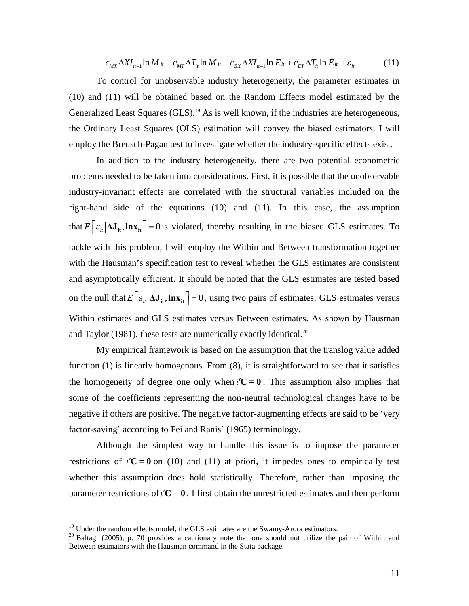$$
c_{MX} \Delta X I_{it-1} \overline{\ln M}_{it} + c_{MT} \Delta T_{it} \overline{\ln M}_{it} + c_{EX} \Delta X I_{it-1} \overline{\ln E}_{it} + c_{ET} \Delta T_{it} \overline{\ln E}_{it} + \varepsilon_{it}
$$
(11)

To control for unobservable industry heterogeneity, the parameter estimates in (10) and (11) will be obtained based on the Random Effects model estimated by the Generalized Least Squares  $(GLS)$ .<sup>19</sup> As is well known, if the industries are heterogeneous, the Ordinary Least Squares (OLS) estimation will convey the biased estimators. I will employ the Breusch-Pagan test to investigate whether the industry-specific effects exist.

In addition to the industry heterogeneity, there are two potential econometric problems needed to be taken into considerations. First, it is possible that the unobservable industry-invariant effects are correlated with the structural variables included on the right-hand side of the equations (10) and (11). In this case, the assumption that  $E\left[\varepsilon_{ii}|\Delta J_{it}, \overline{\ln x_{it}}\right] = 0$  is violated, thereby resulting in the biased GLS estimates. To tackle with this problem, I will employ the Within and Between transformation together with the Hausman's specification test to reveal whether the GLS estimates are consistent and asymptotically efficient. It should be noted that the GLS estimates are tested based on the null that  $E\left[\varepsilon_{it}|\Delta J_{it}, \overline{\ln x_{it}}\right] = 0$ , using two pairs of estimates: GLS estimates versus Within estimates and GLS estimates versus Between estimates. As shown by Hausman and Taylor (1981), these tests are numerically exactly identical.<sup>20</sup>

My empirical framework is based on the assumption that the translog value added function (1) is linearly homogenous. From (8), it is straightforward to see that it satisfies the homogeneity of degree one only when  $\iota$ **C** = **0**. This assumption also implies that some of the coefficients representing the non-neutral technological changes have to be negative if others are positive. The negative factor-augmenting effects are said to be 'very factor-saving' according to Fei and Ranis' (1965) terminology.

Although the simplest way to handle this issue is to impose the parameter restrictions of  $\mathbf{r}'\mathbf{C} = \mathbf{0}$  on (10) and (11) at priori, it impedes ones to empirically test whether this assumption does hold statistically. Therefore, rather than imposing the parameter restrictions of  $i'C = 0$ , I first obtain the unrestricted estimates and then perform

<sup>&</sup>lt;sup>19</sup> Under the random effects model, the GLS estimates are the Swamy-Arora estimators.

 $20$  Baltagi (2005), p. 70 provides a cautionary note that one should not utilize the pair of Within and Between estimators with the Hausman command in the Stata package.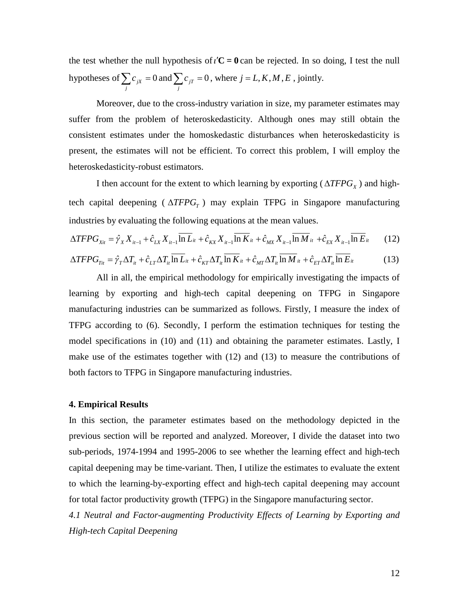the test whether the null hypothesis of  $i'C = 0$  can be rejected. In so doing, I test the null hypotheses of  $\sum c_{jX} = 0$  $\sum_j c_{jX} = 0$  and  $\sum_j c_{jT} = 0$ , where  $j = L, K, M, E$ , jointly.

Moreover, due to the cross-industry variation in size, my parameter estimates may suffer from the problem of heteroskedasticity. Although ones may still obtain the consistent estimates under the homoskedastic disturbances when heteroskedasticity is present, the estimates will not be efficient. To correct this problem, I will employ the heteroskedasticity-robust estimators.

I then account for the extent to which learning by exporting ( $\triangle TFPG_X$ ) and hightech capital deepening ( $\triangle TFPG_T$ ) may explain TFPG in Singapore manufacturing industries by evaluating the following equations at the mean values.

$$
\Delta TFPG_{Xit} = \hat{\gamma}_X X_{it-1} + \hat{c}_{LX} X_{it-1} \overline{\ln L}_{it} + \hat{c}_{KX} X_{it-1} \overline{\ln K}_{it} + \hat{c}_{MX} X_{it-1} \overline{\ln M}_{it} + \hat{c}_{EX} X_{it-1} \overline{\ln E}_{it}
$$
(12)

$$
\Delta TFPG_{Tit} = \hat{\gamma}_T \Delta T_{it} + \hat{c}_{LT} \Delta T_{it} \overline{\ln L}_{it} + \hat{c}_{KT} \Delta T_{it} \overline{\ln K}_{it} + \hat{c}_{MT} \Delta T_{it} \overline{\ln M}_{it} + \hat{c}_{ET} \Delta T_{it} \overline{\ln E}_{it}
$$
(13)

All in all, the empirical methodology for empirically investigating the impacts of learning by exporting and high-tech capital deepening on TFPG in Singapore manufacturing industries can be summarized as follows. Firstly, I measure the index of TFPG according to (6). Secondly, I perform the estimation techniques for testing the model specifications in (10) and (11) and obtaining the parameter estimates. Lastly, I make use of the estimates together with (12) and (13) to measure the contributions of both factors to TFPG in Singapore manufacturing industries.

#### **4. Empirical Results**

In this section, the parameter estimates based on the methodology depicted in the previous section will be reported and analyzed. Moreover, I divide the dataset into two sub-periods, 1974-1994 and 1995-2006 to see whether the learning effect and high-tech capital deepening may be time-variant. Then, I utilize the estimates to evaluate the extent to which the learning-by-exporting effect and high-tech capital deepening may account for total factor productivity growth (TFPG) in the Singapore manufacturing sector.

*4.1 Neutral and Factor-augmenting Productivity Effects of Learning by Exporting and High-tech Capital Deepening*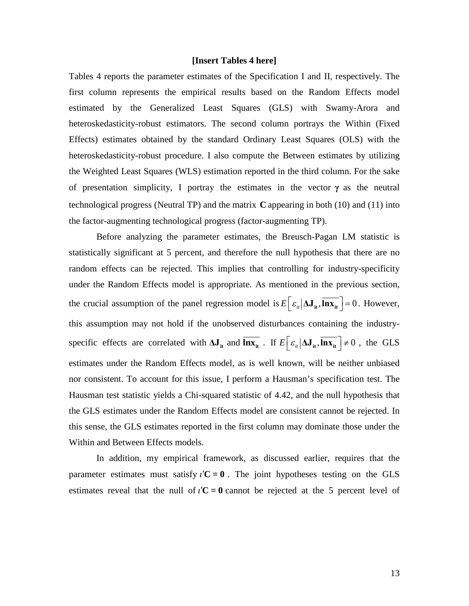#### **[Insert Tables 4 here]**

Tables 4 reports the parameter estimates of the Specification I and II, respectively. The first column represents the empirical results based on the Random Effects model estimated by the Generalized Least Squares (GLS) with Swamy-Arora and heteroskedasticity-robust estimators. The second column portrays the Within (Fixed Effects) estimates obtained by the standard Ordinary Least Squares (OLS) with the heteroskedasticity-robust procedure. I also compute the Between estimates by utilizing the Weighted Least Squares (WLS) estimation reported in the third column. For the sake of presentation simplicity, I portray the estimates in the vector **γ** as the neutral technological progress (Neutral TP) and the matrix **C** appearing in both (10) and (11) into the factor-augmenting technological progress (factor-augmenting TP).

Before analyzing the parameter estimates, the Breusch-Pagan LM statistic is statistically significant at 5 percent, and therefore the null hypothesis that there are no random effects can be rejected. This implies that controlling for industry-specificity under the Random Effects model is appropriate. As mentioned in the previous section, the crucial assumption of the panel regression model is  $E\left[\varepsilon_{i} | \Delta J_{it}, \overline{\ln x_{it}}\right] = 0$ . However, this assumption may not hold if the unobserved disturbances containing the industryspecific effects are correlated with  $\Delta J_{it}$  and  $\overline{\ln x_{it}}$ . If  $E\left[\varepsilon_{it}|\Delta J_{it}, \overline{\ln x_{it}}\right] \neq 0$ , the GLS estimates under the Random Effects model, as is well known, will be neither unbiased nor consistent. To account for this issue, I perform a Hausman's specification test. The Hausman test statistic yields a Chi-squared statistic of 4.42, and the null hypothesis that the GLS estimates under the Random Effects model are consistent cannot be rejected. In this sense, the GLS estimates reported in the first column may dominate those under the Within and Between Effects models.

In addition, my empirical framework, as discussed earlier, requires that the parameter estimates must satisfy  $\iota'C = 0$ . The joint hypotheses testing on the GLS estimates reveal that the null of  $i'C = 0$  cannot be rejected at the 5 percent level of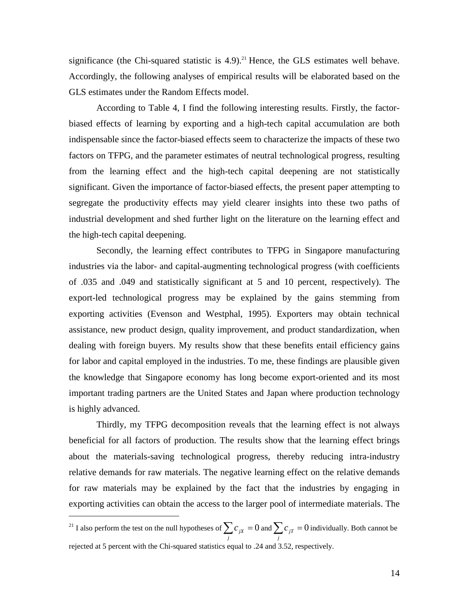significance (the Chi-squared statistic is  $4.9$ ).<sup>21</sup> Hence, the GLS estimates well behave. Accordingly, the following analyses of empirical results will be elaborated based on the GLS estimates under the Random Effects model.

According to Table 4, I find the following interesting results. Firstly, the factorbiased effects of learning by exporting and a high-tech capital accumulation are both indispensable since the factor-biased effects seem to characterize the impacts of these two factors on TFPG, and the parameter estimates of neutral technological progress, resulting from the learning effect and the high-tech capital deepening are not statistically significant. Given the importance of factor-biased effects, the present paper attempting to segregate the productivity effects may yield clearer insights into these two paths of industrial development and shed further light on the literature on the learning effect and the high-tech capital deepening.

Secondly, the learning effect contributes to TFPG in Singapore manufacturing industries via the labor- and capital-augmenting technological progress (with coefficients of .035 and .049 and statistically significant at 5 and 10 percent, respectively). The export-led technological progress may be explained by the gains stemming from exporting activities (Evenson and Westphal, 1995). Exporters may obtain technical assistance, new product design, quality improvement, and product standardization, when dealing with foreign buyers. My results show that these benefits entail efficiency gains for labor and capital employed in the industries. To me, these findings are plausible given the knowledge that Singapore economy has long become export-oriented and its most important trading partners are the United States and Japan where production technology is highly advanced.

Thirdly, my TFPG decomposition reveals that the learning effect is not always beneficial for all factors of production. The results show that the learning effect brings about the materials-saving technological progress, thereby reducing intra-industry relative demands for raw materials. The negative learning effect on the relative demands for raw materials may be explained by the fact that the industries by engaging in exporting activities can obtain the access to the larger pool of intermediate materials. The

<sup>21</sup> I also perform the test on the null hypotheses of  $\sum c_{jX} = 0$  $\sum_{j} c_{jX} = 0$  and  $\sum_{j} c_{jT} = 0$  individually. Both cannot be rejected at 5 percent with the Chi-squared statistics equal to .24 and 3.52, respectively.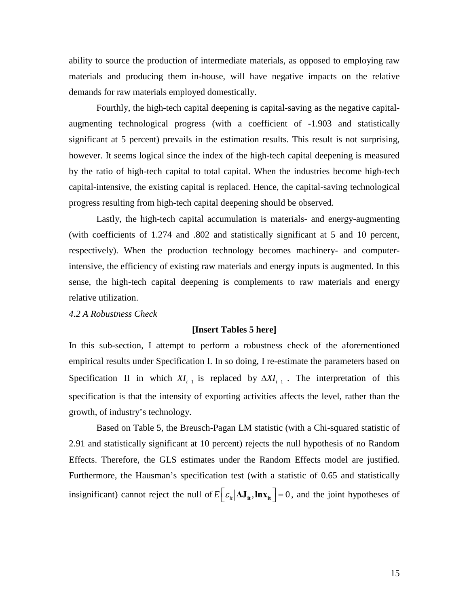ability to source the production of intermediate materials, as opposed to employing raw materials and producing them in-house, will have negative impacts on the relative demands for raw materials employed domestically.

Fourthly, the high-tech capital deepening is capital-saving as the negative capitalaugmenting technological progress (with a coefficient of -1.903 and statistically significant at 5 percent) prevails in the estimation results. This result is not surprising, however. It seems logical since the index of the high-tech capital deepening is measured by the ratio of high-tech capital to total capital. When the industries become high-tech capital-intensive, the existing capital is replaced. Hence, the capital-saving technological progress resulting from high-tech capital deepening should be observed.

Lastly, the high-tech capital accumulation is materials- and energy-augmenting (with coefficients of 1.274 and .802 and statistically significant at 5 and 10 percent, respectively). When the production technology becomes machinery- and computerintensive, the efficiency of existing raw materials and energy inputs is augmented. In this sense, the high-tech capital deepening is complements to raw materials and energy relative utilization.

*4.2 A Robustness Check*

#### **[Insert Tables 5 here]**

In this sub-section, I attempt to perform a robustness check of the aforementioned empirical results under Specification I. In so doing, I re-estimate the parameters based on Specification II in which  $XI_{t-1}$  is replaced by  $\Delta XI_{t-1}$ . The interpretation of this specification is that the intensity of exporting activities affects the level, rather than the growth, of industry's technology.

Based on Table 5, the Breusch-Pagan LM statistic (with a Chi-squared statistic of 2.91 and statistically significant at 10 percent) rejects the null hypothesis of no Random Effects. Therefore, the GLS estimates under the Random Effects model are justified. Furthermore, the Hausman's specification test (with a statistic of 0.65 and statistically insignificant) cannot reject the null of  $E\left[\varepsilon_{i} | \Delta J_{it}, \overline{\ln x_{it}}\right] = 0$ , and the joint hypotheses of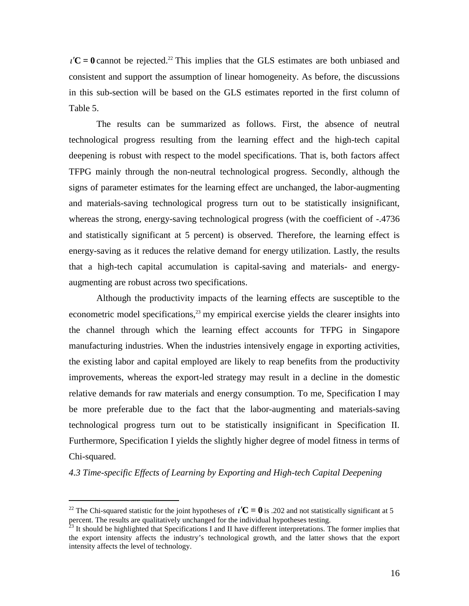$\mathbf{r}'\mathbf{C} = \mathbf{0}$  cannot be rejected.<sup>22</sup> This implies that the GLS estimates are both unbiased and consistent and support the assumption of linear homogeneity. As before, the discussions in this sub-section will be based on the GLS estimates reported in the first column of Table 5.

The results can be summarized as follows. First, the absence of neutral technological progress resulting from the learning effect and the high-tech capital deepening is robust with respect to the model specifications. That is, both factors affect TFPG mainly through the non-neutral technological progress. Secondly, although the signs of parameter estimates for the learning effect are unchanged, the labor-augmenting and materials-saving technological progress turn out to be statistically insignificant, whereas the strong, energy-saving technological progress (with the coefficient of  $-.4736$ ) and statistically significant at 5 percent) is observed. Therefore, the learning effect is energy-saving as it reduces the relative demand for energy utilization. Lastly, the results that a high-tech capital accumulation is capital-saving and materials- and energyaugmenting are robust across two specifications.

Although the productivity impacts of the learning effects are susceptible to the econometric model specifications, $2<sup>3</sup>$  my empirical exercise yields the clearer insights into the channel through which the learning effect accounts for TFPG in Singapore manufacturing industries. When the industries intensively engage in exporting activities, the existing labor and capital employed are likely to reap benefits from the productivity improvements, whereas the export-led strategy may result in a decline in the domestic relative demands for raw materials and energy consumption. To me, Specification I may be more preferable due to the fact that the labor-augmenting and materials-saving technological progress turn out to be statistically insignificant in Specification II. Furthermore, Specification I yields the slightly higher degree of model fitness in terms of Chi-squared.

*4.3 Time-specific Effects of Learning by Exporting and High-tech Capital Deepening*

<sup>&</sup>lt;sup>22</sup> The Chi-squared statistic for the joint hypotheses of  $\iota'C = 0$  is .202 and not statistically significant at 5 percent. The results are qualitatively unchanged for the individual hypotheses testing.

 $^{23}$  It should be highlighted that Specifications I and II have different interpretations. The former implies that the export intensity affects the industry's technological growth, and the latter shows that the export intensity affects the level of technology.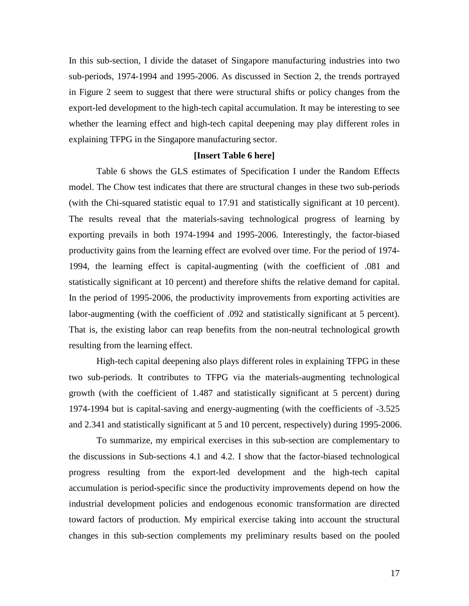In this sub-section, I divide the dataset of Singapore manufacturing industries into two sub-periods, 1974-1994 and 1995-2006. As discussed in Section 2, the trends portrayed in Figure 2 seem to suggest that there were structural shifts or policy changes from the export-led development to the high-tech capital accumulation. It may be interesting to see whether the learning effect and high-tech capital deepening may play different roles in explaining TFPG in the Singapore manufacturing sector.

#### **[Insert Table 6 here]**

Table 6 shows the GLS estimates of Specification I under the Random Effects model. The Chow test indicates that there are structural changes in these two sub-periods (with the Chi-squared statistic equal to 17.91 and statistically significant at 10 percent). The results reveal that the materials-saving technological progress of learning by exporting prevails in both 1974-1994 and 1995-2006. Interestingly, the factor-biased productivity gains from the learning effect are evolved over time. For the period of 1974- 1994, the learning effect is capital-augmenting (with the coefficient of .081 and statistically significant at 10 percent) and therefore shifts the relative demand for capital. In the period of 1995-2006, the productivity improvements from exporting activities are labor-augmenting (with the coefficient of .092 and statistically significant at 5 percent). That is, the existing labor can reap benefits from the non-neutral technological growth resulting from the learning effect.

High-tech capital deepening also plays different roles in explaining TFPG in these two sub-periods. It contributes to TFPG via the materials-augmenting technological growth (with the coefficient of 1.487 and statistically significant at 5 percent) during 1974-1994 but is capital-saving and energy-augmenting (with the coefficients of -3.525 and 2.341 and statistically significant at 5 and 10 percent, respectively) during 1995-2006.

To summarize, my empirical exercises in this sub-section are complementary to the discussions in Sub-sections 4.1 and 4.2. I show that the factor-biased technological progress resulting from the export-led development and the high-tech capital accumulation is period-specific since the productivity improvements depend on how the industrial development policies and endogenous economic transformation are directed toward factors of production. My empirical exercise taking into account the structural changes in this sub-section complements my preliminary results based on the pooled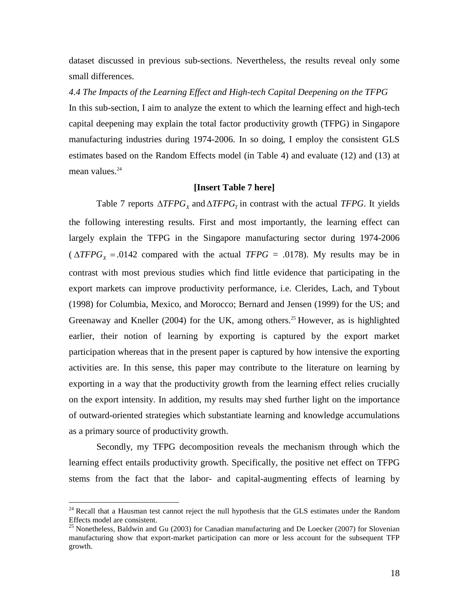dataset discussed in previous sub-sections. Nevertheless, the results reveal only some small differences.

*4.4 The Impacts of the Learning Effect and High-tech Capital Deepening on the TFPG* In this sub-section, I aim to analyze the extent to which the learning effect and high-tech capital deepening may explain the total factor productivity growth (TFPG) in Singapore manufacturing industries during 1974-2006. In so doing, I employ the consistent GLS estimates based on the Random Effects model (in Table 4) and evaluate (12) and (13) at mean values.<sup>24</sup>

#### **[Insert Table 7 here]**

Table 7 reports  $\triangle TFPG_X$  and  $\triangle TFPG_T$  in contrast with the actual *TFPG*. It yields the following interesting results. First and most importantly, the learning effect can largely explain the TFPG in the Singapore manufacturing sector during 1974-2006 ( $\triangle TFPG_X = .0142$  compared with the actual *TFPG* = .0178). My results may be in contrast with most previous studies which find little evidence that participating in the export markets can improve productivity performance, i.e. Clerides, Lach, and Tybout (1998) for Columbia, Mexico, and Morocco; Bernard and Jensen (1999) for the US; and Greenaway and Kneller (2004) for the UK, among others.<sup>25</sup> However, as is highlighted earlier, their notion of learning by exporting is captured by the export market participation whereas that in the present paper is captured by how intensive the exporting activities are. In this sense, this paper may contribute to the literature on learning by exporting in a way that the productivity growth from the learning effect relies crucially on the export intensity. In addition, my results may shed further light on the importance of outward-oriented strategies which substantiate learning and knowledge accumulations as a primary source of productivity growth.

Secondly, my TFPG decomposition reveals the mechanism through which the learning effect entails productivity growth. Specifically, the positive net effect on TFPG stems from the fact that the labor- and capital-augmenting effects of learning by

<sup>&</sup>lt;sup>24</sup> Recall that a Hausman test cannot reject the null hypothesis that the GLS estimates under the Random Effects model are consistent.

<sup>&</sup>lt;sup>25</sup> Nonetheless, Baldwin and Gu (2003) for Canadian manufacturing and De Loecker (2007) for Slovenian manufacturing show that export-market participation can more or less account for the subsequent TFP growth.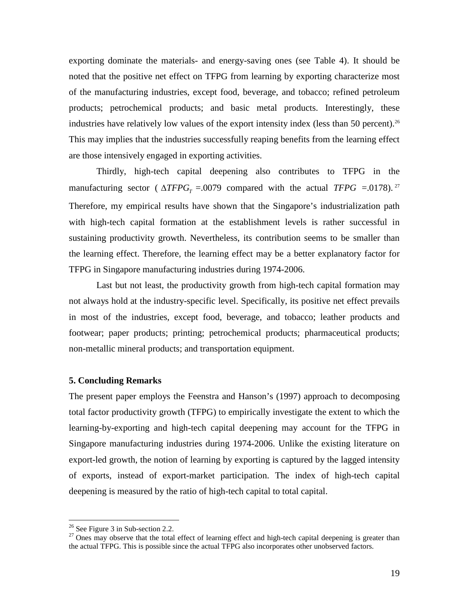exporting dominate the materials- and energy-saving ones (see Table 4). It should be noted that the positive net effect on TFPG from learning by exporting characterize most of the manufacturing industries, except food, beverage, and tobacco; refined petroleum products; petrochemical products; and basic metal products. Interestingly, these industries have relatively low values of the export intensity index (less than 50 percent). <sup>26</sup> This may implies that the industries successfully reaping benefits from the learning effect are those intensively engaged in exporting activities.

Thirdly, high-tech capital deepening also contributes to TFPG in the manufacturing sector ( $\triangle TFPG<sub>T</sub> = .0079$  compared with the actual *TFPG* = .0178).<sup>27</sup> Therefore, my empirical results have shown that the Singapore's industrialization path with high-tech capital formation at the establishment levels is rather successful in sustaining productivity growth. Nevertheless, its contribution seems to be smaller than the learning effect. Therefore, the learning effect may be a better explanatory factor for TFPG in Singapore manufacturing industries during 1974-2006.

Last but not least, the productivity growth from high-tech capital formation may not always hold at the industry-specific level. Specifically, its positive net effect prevails in most of the industries, except food, beverage, and tobacco; leather products and footwear; paper products; printing; petrochemical products; pharmaceutical products; non-metallic mineral products; and transportation equipment.

#### **5. Concluding Remarks**

The present paper employs the Feenstra and Hanson's (1997) approach to decomposing total factor productivity growth (TFPG) to empirically investigate the extent to which the learning-by-exporting and high-tech capital deepening may account for the TFPG in Singapore manufacturing industries during 1974-2006. Unlike the existing literature on export-led growth, the notion of learning by exporting is captured by the lagged intensity of exports, instead of export-market participation. The index of high-tech capital deepening is measured by the ratio of high-tech capital to total capital.

 $26$  See Figure 3 in Sub-section 2.2.

 $27$  Ones may observe that the total effect of learning effect and high-tech capital deepening is greater than the actual TFPG. This is possible since the actual TFPG also incorporates other unobserved factors.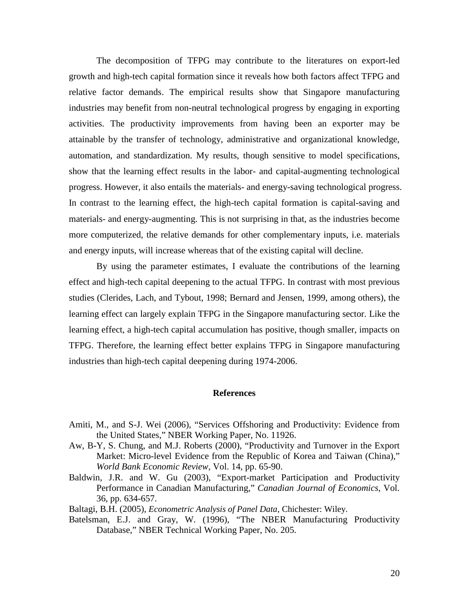The decomposition of TFPG may contribute to the literatures on export-led growth and high-tech capital formation since it reveals how both factors affect TFPG and relative factor demands. The empirical results show that Singapore manufacturing industries may benefit from non-neutral technological progress by engaging in exporting activities. The productivity improvements from having been an exporter may be attainable by the transfer of technology, administrative and organizational knowledge, automation, and standardization. My results, though sensitive to model specifications, show that the learning effect results in the labor- and capital-augmenting technological progress. However, it also entails the materials- and energy-saving technological progress. In contrast to the learning effect, the high-tech capital formation is capital-saving and materials- and energy-augmenting. This is not surprising in that, as the industries become more computerized, the relative demands for other complementary inputs, i.e. materials and energy inputs, will increase whereas that of the existing capital will decline.

By using the parameter estimates, I evaluate the contributions of the learning effect and high-tech capital deepening to the actual TFPG. In contrast with most previous studies (Clerides, Lach, and Tybout, 1998; Bernard and Jensen, 1999, among others), the learning effect can largely explain TFPG in the Singapore manufacturing sector. Like the learning effect, a high-tech capital accumulation has positive, though smaller, impacts on TFPG. Therefore, the learning effect better explains TFPG in Singapore manufacturing industries than high-tech capital deepening during 1974-2006.

#### **References**

- Amiti, M., and S-J. Wei (2006), "Services Offshoring and Productivity: Evidence from the United States," NBER Working Paper, No. 11926.
- Aw, B-Y, S. Chung, and M.J. Roberts (2000), "Productivity and Turnover in the Export Market: Micro-level Evidence from the Republic of Korea and Taiwan (China)," *World Bank Economic Review*, Vol. 14, pp. 65-90.
- Baldwin, J.R. and W. Gu (2003), "Export-market Participation and Productivity Performance in Canadian Manufacturing," *Canadian Journal of Economics*, Vol. 36, pp. 634-657.

Baltagi, B.H. (2005), *Econometric Analysis of Panel Data*, Chichester: Wiley.

Batelsman, E.J. and Gray, W. (1996), "The NBER Manufacturing Productivity Database," NBER Technical Working Paper, No. 205.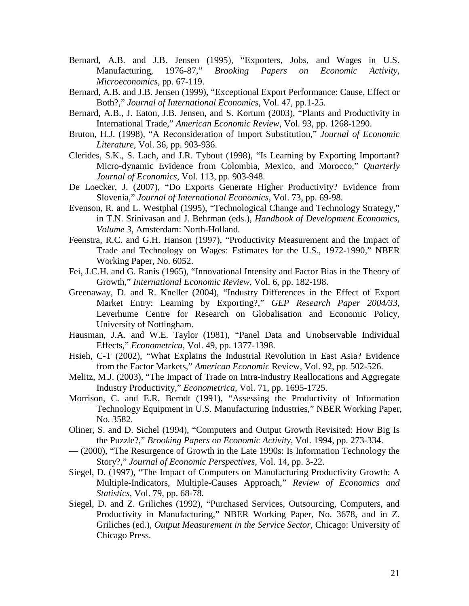- Bernard, A.B. and J.B. Jensen (1995), "Exporters, Jobs, and Wages in U.S. Manufacturing, 1976-87," *Brooking Papers on Economic Activity, Microeconomics*, pp. 67-119.
- Bernard, A.B. and J.B. Jensen (1999), "Exceptional Export Performance: Cause, Effect or Both?," *Journal of International Economics*, Vol. 47, pp.1-25.
- Bernard, A.B., J. Eaton, J.B. Jensen, and S. Kortum (2003), "Plants and Productivity in International Trade," *American Economic Review*, Vol. 93, pp. 1268-1290.
- Bruton, H.J. (1998), "A Reconsideration of Import Substitution," *Journal of Economic Literature*, Vol. 36, pp. 903-936.
- Clerides, S.K., S. Lach, and J.R. Tybout (1998), "Is Learning by Exporting Important? Micro-dynamic Evidence from Colombia, Mexico, and Morocco," *Quarterly Journal of Economics*, Vol. 113, pp. 903-948.
- De Loecker, J. (2007), "Do Exports Generate Higher Productivity? Evidence from Slovenia," *Journal of International Economics*, Vol. 73, pp. 69-98.
- Evenson, R. and L. Westphal (1995), "Technological Change and Technology Strategy," in T.N. Srinivasan and J. Behrman (eds.), *Handbook of Development Economics, Volume 3*, Amsterdam: North-Holland.
- Feenstra, R.C. and G.H. Hanson (1997), "Productivity Measurement and the Impact of Trade and Technology on Wages: Estimates for the U.S., 1972-1990," NBER Working Paper, No. 6052.
- Fei, J.C.H. and G. Ranis (1965), "Innovational Intensity and Factor Bias in the Theory of Growth," *International Economic Review*, Vol. 6, pp. 182-198.
- Greenaway, D. and R. Kneller (2004), "Industry Differences in the Effect of Export Market Entry: Learning by Exporting?," *GEP Research Paper 2004/33*, Leverhume Centre for Research on Globalisation and Economic Policy, University of Nottingham.
- Hausman, J.A. and W.E. Taylor (1981), "Panel Data and Unobservable Individual Effects," *Econometrica*, Vol. 49, pp. 1377-1398.
- Hsieh, C-T (2002), "What Explains the Industrial Revolution in East Asia? Evidence from the Factor Markets," *American Economic* Review, Vol. 92, pp. 502-526.
- Melitz, M.J. (2003), "The Impact of Trade on Intra-industry Reallocations and Aggregate Industry Productivity," *Econometrica*, Vol. 71, pp. 1695-1725.
- Morrison, C. and E.R. Berndt (1991), "Assessing the Productivity of Information Technology Equipment in U.S. Manufacturing Industries," NBER Working Paper, No. 3582.
- Oliner, S. and D. Sichel (1994), "Computers and Output Growth Revisited: How Big Is the Puzzle?," *Brooking Papers on Economic Activity*, Vol. 1994, pp. 273-334.
- (2000), "The Resurgence of Growth in the Late 1990s: Is Information Technology the Story?," *Journal of Economic Perspectives*, Vol. 14, pp. 3-22.
- Siegel, D. (1997), "The Impact of Computers on Manufacturing Productivity Growth: A Multiple-Indicators, Multiple-Causes Approach," *Review of Economics and Statistics*, Vol. 79, pp. 68-78.
- Siegel, D. and Z. Griliches (1992), "Purchased Services, Outsourcing, Computers, and Productivity in Manufacturing," NBER Working Paper, No. 3678, and in Z. Griliches (ed.), *Output Measurement in the Service Sector*, Chicago: University of Chicago Press.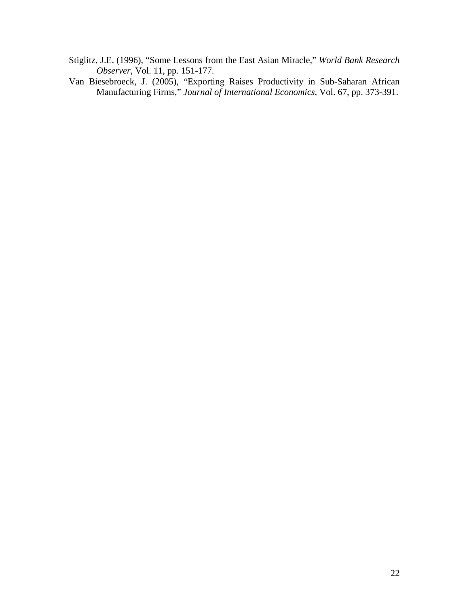- Stiglitz, J.E. (1996), "Some Lessons from the East Asian Miracle," *World Bank Research Observer*, Vol. 11, pp. 151-177.
- Van Biesebroeck, J. (2005), "Exporting Raises Productivity in Sub-Saharan African Manufacturing Firms," *Journal of International Economics*, Vol. 67, pp. 373-391.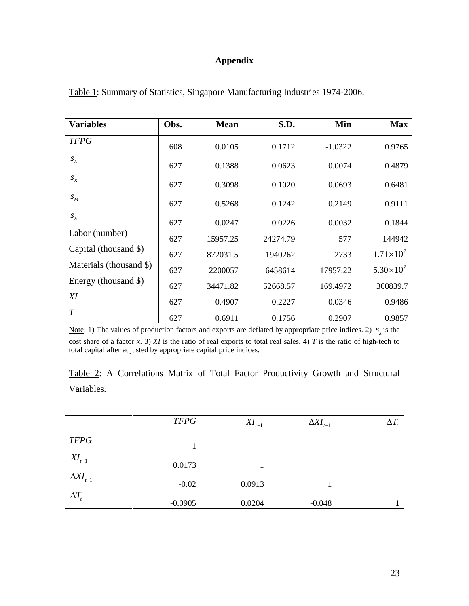#### **Appendix**

| <b>Variables</b>        | Obs. | <b>Mean</b> | S.D.     | Min       | <b>Max</b>           |
|-------------------------|------|-------------|----------|-----------|----------------------|
| <b>TFPG</b>             | 608  | 0.0105      | 0.1712   | $-1.0322$ | 0.9765               |
| $S_L$                   | 627  | 0.1388      | 0.0623   | 0.0074    | 0.4879               |
| $S_K$                   | 627  | 0.3098      | 0.1020   | 0.0693    | 0.6481               |
| $S_M$                   | 627  | 0.5268      | 0.1242   | 0.2149    | 0.9111               |
| ${\cal S}_E$            | 627  | 0.0247      | 0.0226   | 0.0032    | 0.1844               |
| Labor (number)          | 627  | 15957.25    | 24274.79 | 577       | 144942               |
| Capital (thousand \$)   | 627  | 872031.5    | 1940262  | 2733      | $1.71 \times 10^{7}$ |
| Materials (thousand \$) | 627  | 2200057     | 6458614  | 17957.22  | $5.30\times10^{7}$   |
| Energy (thousand \$)    | 627  | 34471.82    | 52668.57 | 169.4972  | 360839.7             |
| XI                      | 627  | 0.4907      | 0.2227   | 0.0346    | 0.9486               |
| $\overline{T}$          | 627  | 0.6911      | 0.1756   | 0.2907    | 0.9857               |

Table 1: Summary of Statistics, Singapore Manufacturing Industries 1974-2006.

Note: 1) The values of production factors and exports are deflated by appropriate price indices. 2)  $s_x$  is the cost share of a factor  $x$ . 3)  $XI$  is the ratio of real exports to total real sales. 4)  $T$  is the ratio of high-tech to total capital after adjusted by appropriate capital price indices.

Table 2: A Correlations Matrix of Total Factor Productivity Growth and Structural Variables.

|                    | <b>TFPG</b> | $XI_{t-1}$ | $\Delta X I_{t-1}$ | $\Delta I$ , |
|--------------------|-------------|------------|--------------------|--------------|
| <b>TFPG</b>        |             |            |                    |              |
| $XI_{t-1}$         | 0.0173      |            |                    |              |
| $\Delta X I_{t-1}$ | $-0.02$     | 0.0913     |                    |              |
| $\Delta T_{t}$     | $-0.0905$   | 0.0204     | $-0.048$           |              |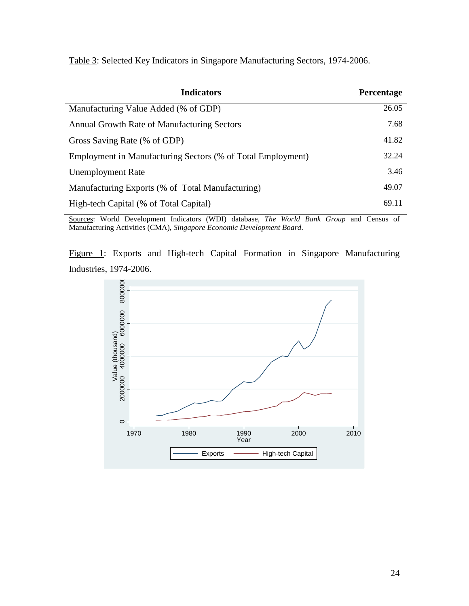Table 3: Selected Key Indicators in Singapore Manufacturing Sectors, 1974-2006.

| <b>Indicators</b>                                           | <b>Percentage</b> |
|-------------------------------------------------------------|-------------------|
| Manufacturing Value Added (% of GDP)                        | 26.05             |
| Annual Growth Rate of Manufacturing Sectors                 | 7.68              |
| Gross Saving Rate (% of GDP)                                | 41.82             |
| Employment in Manufacturing Sectors (% of Total Employment) | 32.24             |
| <b>Unemployment Rate</b>                                    | 3.46              |
| Manufacturing Exports (% of Total Manufacturing)            | 49.07             |
| High-tech Capital (% of Total Capital)                      | 69.11             |

Sources: World Development Indicators (WDI) database, *The World Bank Group* and Census of Manufacturing Activities (CMA), *Singapore Economic Development Board*.

Figure 1: Exports and High-tech Capital Formation in Singapore Manufacturing Industries, 1974-2006.

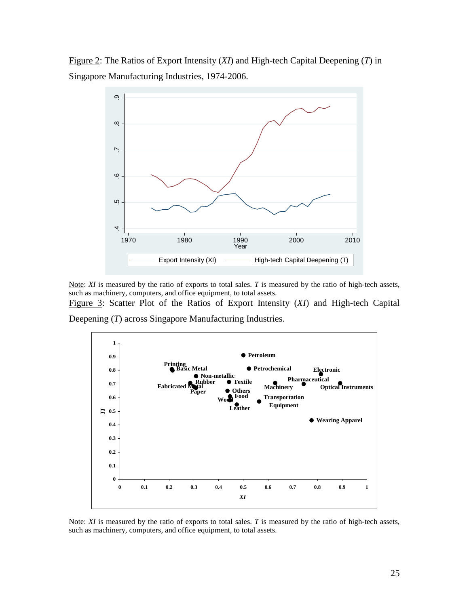Figure 2: The Ratios of Export Intensity (*XI*) and High-tech Capital Deepening (*T*) in Singapore Manufacturing Industries, 1974-2006.



Note: *XI* is measured by the ratio of exports to total sales. *T* is measured by the ratio of high-tech assets, such as machinery, computers, and office equipment, to total assets.

Figure 3: Scatter Plot of the Ratios of Export Intensity (*XI*) and High-tech Capital

Deepening (*T*) across Singapore Manufacturing Industries.



Note: *XI* is measured by the ratio of exports to total sales. *T* is measured by the ratio of high-tech assets, such as machinery, computers, and office equipment, to total assets.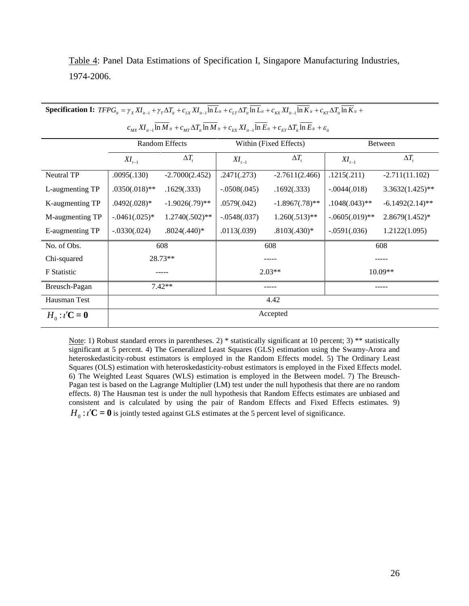Table 4: Panel Data Estimations of Specification I, Singapore Manufacturing Industries, 1974-2006.

| $c_{\mu x} X I_{n-1} \ln M_{it} + c_{\mu r} \Delta T_{it} \ln M_{it} + c_{\mu x} X I_{n-1} \ln E_{it} + c_{\mu r} \Delta T_{it} \ln E_{it} + \varepsilon_{it}$ |                 |                   |                |                        |                  |                    |
|----------------------------------------------------------------------------------------------------------------------------------------------------------------|-----------------|-------------------|----------------|------------------------|------------------|--------------------|
|                                                                                                                                                                |                 | Random Effects    |                | Within (Fixed Effects) |                  | <b>Between</b>     |
|                                                                                                                                                                | $XI_{t-1}$      | $\Delta T_{t}$    | $XI_{t-1}$     | $\Delta T_{t}$         | $XI_{t-1}$       | $\Delta T_{t}$     |
| Neutral TP                                                                                                                                                     | .0095(.130)     | $-2.7000(2.452)$  | .2471(.273)    | $-2.7611(2.466)$       | .1215(.211)      | $-2.711(11.102)$   |
| L-augmenting TP                                                                                                                                                | $.0350(.018)**$ | .1629(.333)       | $-.0508(.045)$ | .1692(.333)            | $-.0044(.018)$   | $3.3632(1.425)$ ** |
| K-augmenting TP                                                                                                                                                | $.0492(.028)*$  | $-1.9026(.79)$ ** | .0579(.042)    | $-1.8967(.78)$ **      | $.1048(.043)$ ** | $-6.1492(2.14)$ ** |
| M-augmenting TP                                                                                                                                                | $-.0461(.025)*$ | $1.2740(.502)**$  | $-.0548(.037)$ | $1.260(.513)**$        | $-.0605(.019)**$ | $2.8679(1.452)^*$  |
| E-augmenting TP                                                                                                                                                | $-.0330(.024)$  | $.8024(.440)*$    | .0113(.039)    | $.8103(.430)*$         | $-.0591(.036)$   | 1.2122(1.095)      |
| No. of Obs.                                                                                                                                                    | 608             |                   | 608            |                        |                  | 608                |
| Chi-squared                                                                                                                                                    | $28.73**$       |                   |                |                        |                  |                    |
| F Statistic                                                                                                                                                    |                 |                   | $2.03**$       |                        | $10.09**$        |                    |
| Breusch-Pagan                                                                                                                                                  | $7.42**$        |                   |                |                        |                  |                    |
| Hausman Test                                                                                                                                                   | 4.42            |                   |                |                        |                  |                    |
| $H_0: i'\mathbf{C} = \mathbf{0}$                                                                                                                               | Accepted        |                   |                |                        |                  |                    |

**Specification I:**  $TFPG_{ii} = \gamma_X XI_{ii-1} + \gamma_T \Delta T_{ii} + c_{IX} XI_{ii-1} \overline{\ln L}_{ii} + c_{LT} \Delta T_{ii} \overline{\ln L}_{ii} + c_{XX} XI_{ii-1} \overline{\ln K}_{ii} + c_{KT} \Delta T_{ii} \overline{\ln K}_{ii} + c_{KT} \Delta T_{ii} \overline{\ln K}_{ii}$ 

|  |  |  | $c_{_{MX}} XI_{_{it-1}} \ln M_{^{it}} + c_{_{MT}} \Delta T_{_{it}} \ln M_{^{it}} + c_{_{EX}} XI_{_{it-1}} \ln E_{^{it}} + c_{_{ET}} \Delta T_{_{it}} \ln E_{^{it}} + \varepsilon_{_{it}}$ |
|--|--|--|-------------------------------------------------------------------------------------------------------------------------------------------------------------------------------------------|
|  |  |  |                                                                                                                                                                                           |

Note: 1) Robust standard errors in parentheses. 2) \* statistically significant at 10 percent; 3) \*\* statistically significant at 5 percent. 4) The Generalized Least Squares (GLS) estimation using the Swamy-Arora and heteroskedasticity-robust estimators is employed in the Random Effects model. 5) The Ordinary Least Squares (OLS) estimation with heteroskedasticity-robust estimators is employed in the Fixed Effects model. 6) The Weighted Least Squares (WLS) estimation is employed in the Between model. 7) The Breusch-Pagan test is based on the Lagrange Multiplier (LM) test under the null hypothesis that there are no random effects. 8) The Hausman test is under the null hypothesis that Random Effects estimates are unbiased and consistent and is calculated by using the pair of Random Effects and Fixed Effects estimates. 9)  $H_0: i'C = 0$  is jointly tested against GLS estimates at the 5 percent level of significance.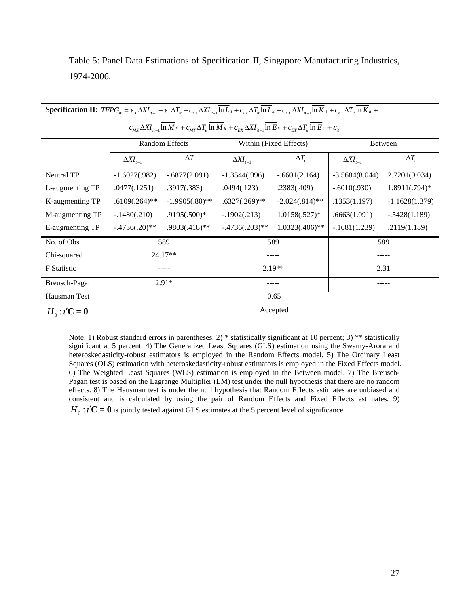Table 5: Panel Data Estimations of Specification II, Singapore Manufacturing Industries, 1974-2006.

| MА<br>$u-1$<br>M1<br>EΛ<br>$l - 1$<br>- E.I |                    |                       |                    |                        |                    |                    |
|---------------------------------------------|--------------------|-----------------------|--------------------|------------------------|--------------------|--------------------|
|                                             |                    | <b>Random Effects</b> |                    | Within (Fixed Effects) | <b>Between</b>     |                    |
|                                             | $\Delta X I_{t-1}$ | $\Delta T_{t}$        | $\Delta X I_{t-1}$ | $\Delta T_{t}$         | $\Delta X I_{t-1}$ | $\Delta T_{\rm r}$ |
| Neutral TP                                  | $-1.6027(.982)$    | $-.6877(2.091)$       | $-1.3544(.996)$    | $-.6601(2.164)$        | $-3.5684(8.044)$   | 2.7201(9.034)      |
| L-augmenting TP                             | .0477(.1251)       | .3917(.383)           | .0494(.123)        | .2383(.409)            | $-.6010(.930)$     | $1.8911(.794)*$    |
| K-augmenting TP                             | $.6109(.264)$ **   | $-1.9905(.80)$ **     | $.6327(.269)**$    | $-2.024(.814)$ **      | .1353(1.197)       | $-1.1628(1.379)$   |
| M-augmenting TP                             | $-.1480(.210)$     | $.9195(.500)*$        | $-.1902(.213)$     | $1.0158(.527)^*$       | .6663(1.091)       | $-.5428(1.189)$    |
| E-augmenting TP                             | $-.4736(.20)$ **   | $.9803(.418)$ **      | $-.4736(.203)**$   | $1.0323(.406)$ **      | $-.1681(1.239)$    | .2119(1.189)       |
| No. of Obs.                                 | 589                |                       | 589                |                        |                    | 589                |
| Chi-squared                                 | $24.17**$          |                       |                    |                        |                    |                    |
| F Statistic                                 |                    |                       | $2.19**$           |                        | 2.31               |                    |
| Breusch-Pagan                               | $2.91*$            |                       |                    |                        | -----              |                    |
| Hausman Test                                | 0.65               |                       |                    |                        |                    |                    |
| $H_0: i'\mathbf{C} = \mathbf{0}$            | Accepted           |                       |                    |                        |                    |                    |

| <b>Specification II:</b> $TFPG_{it} = \gamma_X \Delta X I_{it-1} + \gamma_T \Delta T_{it} + c_{LX} \Delta X I_{it-1} \ln L_{it} + c_{LT} \Delta T_{it} \ln L_{it} + c_{KX} \Delta X I_{it-1} \ln K_{it} + c_{KT} \Delta T_{it} \ln K_{it} +$ |
|----------------------------------------------------------------------------------------------------------------------------------------------------------------------------------------------------------------------------------------------|
|----------------------------------------------------------------------------------------------------------------------------------------------------------------------------------------------------------------------------------------------|

|  |  | $c_{_{MX}}\Delta XI_{_{it-1}}\ln M_{^{it}}+c_{_{MT}}\Delta T_{_{it}}\ln M_{^{it}}+c_{_{EX}}\Delta XI_{_{it-1}}\ln E_{^{it}}+c_{_{ET}}\Delta T_{_{it}}\ln E_{^{it}}+\varepsilon_{_{it}}$ |  |  |  |  |
|--|--|-----------------------------------------------------------------------------------------------------------------------------------------------------------------------------------------|--|--|--|--|
|--|--|-----------------------------------------------------------------------------------------------------------------------------------------------------------------------------------------|--|--|--|--|

Note: 1) Robust standard errors in parentheses. 2) \* statistically significant at 10 percent; 3) \*\* statistically significant at 5 percent. 4) The Generalized Least Squares (GLS) estimation using the Swamy-Arora and heteroskedasticity-robust estimators is employed in the Random Effects model. 5) The Ordinary Least Squares (OLS) estimation with heteroskedasticity-robust estimators is employed in the Fixed Effects model. 6) The Weighted Least Squares (WLS) estimation is employed in the Between model. 7) The Breusch-Pagan test is based on the Lagrange Multiplier (LM) test under the null hypothesis that there are no random effects. 8) The Hausman test is under the null hypothesis that Random Effects estimates are unbiased and consistent and is calculated by using the pair of Random Effects and Fixed Effects estimates. 9)  $H_0: i'C = 0$  is jointly tested against GLS estimates at the 5 percent level of significance.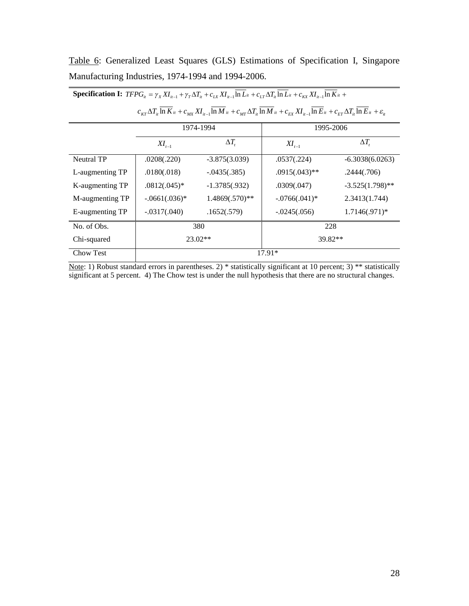| <b>Specification I:</b> $TFPG_{ii} = \gamma_X X I_{ii-1} + \gamma_T \Delta T_{ii} + c_{IX} X I_{ii-1} \ln L_{ii} + c_{LT} \Delta T_{ii} \ln L_{ii} + c_{KY} X I_{ii-1} \ln K_{ii} + c_{LY} X I_{ii-1} \ln K_{ii}$ |                                                                                                                                                                                      |                    |                   |                    |  |  |  |  |  |
|-------------------------------------------------------------------------------------------------------------------------------------------------------------------------------------------------------------------|--------------------------------------------------------------------------------------------------------------------------------------------------------------------------------------|--------------------|-------------------|--------------------|--|--|--|--|--|
|                                                                                                                                                                                                                   | $c_{KT}\Delta T_{ii}$ ln $K_{it} + c_{MX}XI_{it-1}$ ln $M_{it} + c_{MT}\Delta T_{it}$ ln $M_{it} + c_{FX}XI_{it-1}$ ln $E_{it} + c_{ET}\Delta T_{it}$ ln $E_{it} + \varepsilon_{it}$ |                    |                   |                    |  |  |  |  |  |
|                                                                                                                                                                                                                   |                                                                                                                                                                                      | 1974-1994          |                   | 1995-2006          |  |  |  |  |  |
|                                                                                                                                                                                                                   | $XI_{t-1}$                                                                                                                                                                           | $\Delta T_{\rm r}$ | $XI_{t-1}$        | $\Delta T$         |  |  |  |  |  |
| <b>Neutral TP</b>                                                                                                                                                                                                 | .0208(.220)                                                                                                                                                                          | $-3.875(3.039)$    | .0537(.224)       | $-6.3038(6.0263)$  |  |  |  |  |  |
| L-augmenting TP                                                                                                                                                                                                   | .0180(.018)                                                                                                                                                                          | $-.0435(.385)$     | $.0915(.043)$ **  | .2444(.706)        |  |  |  |  |  |
| K-augmenting TP                                                                                                                                                                                                   | $.0812(.045)*$                                                                                                                                                                       | $-1.3785(.932)$    | .0309(.047)       | $-3.525(1.798)$ ** |  |  |  |  |  |
| M-augmenting TP                                                                                                                                                                                                   | $-.0661(.036)*$                                                                                                                                                                      | $1.4869(.570)**$   | $-0.0766(.041)^*$ | 2.3413(1.744)      |  |  |  |  |  |
| E-augmenting TP                                                                                                                                                                                                   | $-.0317(.040)$                                                                                                                                                                       | .1652(.579)        | $-.0245(.056)$    | $1.7146(.971)*$    |  |  |  |  |  |
| No. of Obs.                                                                                                                                                                                                       | 380<br>228                                                                                                                                                                           |                    |                   |                    |  |  |  |  |  |
| Chi-squared                                                                                                                                                                                                       | $23.02**$<br>39.82**                                                                                                                                                                 |                    |                   |                    |  |  |  |  |  |
| <b>Chow Test</b>                                                                                                                                                                                                  | $17.91*$                                                                                                                                                                             |                    |                   |                    |  |  |  |  |  |

Table 6: Generalized Least Squares (GLS) Estimations of Specification I, Singapore Manufacturing Industries, 1974-1994 and 1994-2006.

Note: 1) Robust standard errors in parentheses. 2) \* statistically significant at 10 percent; 3) \*\* statistically significant at 5 percent. 4) The Chow test is under the null hypothesis that there are no structural changes.